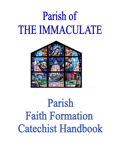# Parish of THE IMMACULATE



## Parish Faith Formation Catechist Handbook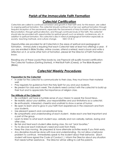## *Parish of the Immaculate Faith Formation*

## *Catechist Certification*

*Catechists are called to continual conversion and growth in their faith and, for this reason, are called to ongoing spiritual formation. The catechist should continue his or her own spiritual formation through frequent reception of the sacraments, especially the Sacraments of Holy Eucharist and Penance and Reconciliation, through spiritual direction, and through continued study of the faith. The catechist should also be provided with opportunities for spiritual growth such as retreats, conferences, etc. In addition to spiritual formation, the catechist is also in need of pedagogical formation especially as society, teaching methods, and culture change. NDC Ch 8, C*

Opportunities are provided for all Catechists in the areas of spiritual and pedagogical formation. Immaculate is requiring that each Catechist take at least two offerings a year. If you are enrolled in Bible Studies, online courses, attend a retreat, read a book and write a reflection on it, or some other form of formation, please let the Director of Faith Formation know.

Reading any of these Loyola Press books by Joe Paprocki will qualify toward certification: The Catechist Toolbox (Getting Started), A Well Built Faith (Creed), or The Bible Blueprint (Bible).

## *Catechist Weekly Procedures*

#### **Preparation for the Catechist**

- In order for the catechist to communicate to their class, they must know their material well.
- Pray regularly for guidance from the Holy Spirit for you and your students.
- Be present for class each week. The students need contact with the catechist to build up their trust and to appreciate the importance of religion class.

#### **The Attitude of the Catechist**

- Be confident, yet have a humble sense of your mission to speak the Good News.
- Be realistic about your abilities, your responsibilities and your limitations as a catechist.
- Be enthusiastic, interested, cheerful and unafraid to show a sense of humor.
- Be open to learn and to grow in your faith from experiences in the classroom and from your students.
- Use pleasant speech and conversational tone.
- Be sympathetic and understanding of each student. Make each one feel important and a part of the group.
- Learn to listen to what each student says, verbally and non-verbally, before, during and after class.
- Be fair and treat each student alike during class. Do not "pick favorites."
- Try to discover each individual's need and work from there.
- Keep the class moving. Be prepared & have alternate activities ready if you finish early.
- Any discipline should be done with love and understanding. Do not allow a behavior problem to continue. Immediately speak to the student about their behavior. (Each student will have signed the Code of Conduct. ) Inform the Director about any situation that needs further assistance. The Director will be willing to call the parents.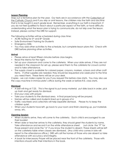#### **Lesson Planning**

Map out a tentative plan for the year. Our texts are in accordance with the Catechism of the Catholic Church and if you skip or omit lessons, the children miss the faith and doctrine that is to be taught in each grade level. Remember, everything in our faith is important. If you do not feel qualified to teach about a particular aspect of the faith, or have difficulty understanding what the lesson plan is trying to communicate, do not skip over the lesson. Instead, please contact the DRE for support.

The following activities will be scheduled during class time:

- ACRE Testing for  $5<sup>th</sup>$  and  $8<sup>th</sup>$  Grade
- Safe Environment Training for Students
- Emergency Drills
- You may add other activities to the schedule, but complete lesson plans first. Check with DRE before planning other activities.

#### **Arrival**

- Please arrive at least fifteen minutes before class begins.
- Read the Memo for the night.
- Set up your classroom and come to the cafeteria. When your aide arrives, if they are not needed in the classroom for set-up, please send them to the cafeteria for crowd control and to take attendance.
- The supply closet is available for colored paper, crayons, markers, scissors and other craft items. If other supplies are needed, they should be requested one week prior to the time you need them. These items will be on your desk.

Copies - we can make copies for you if you request this before class starts. You may also use the copy machine in Immaculate's office during the week or before R.E. class starts.

#### **Dismissal**

- A bell will ring at 7:25. This is the signal to put away material, put disks back in order, pick up trash and get ready for dismissal.
- End your class with prayer.
- Take your students to the dismissal area. A final prayer/song will be prayed.
- Names will be called and students lined up in groups of 4.
- Traffic volunteers and catechists will help expedite dismissal. Please try to keep the children quiet.
- When your students have left, go back to your room and finish cleaning up, put materials away, etc.

#### **Opening Session**

- When students arrive, they will come to the cafeteria. Each child is encouraged to use their booklet.
- When aide or teacher arrives to the cafeteria, they should greet the students by name. Take attendance and record it on the white attendance sheet. Just circle the "P" for those present and circle the "A" if you know the student is absent. These sheets will be left on the cafeteria table when classes are dismissed. (Any child who comes in late will report to the attendance office.) DRE will call the homes of those who are absent so take attendance with accuracy and integrity.
- A book for Intercessory Prayer will be placed near the front of the cafeteria. Those with intentions should write their intentions in the book.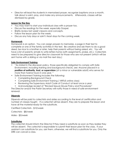Director will lead the students in memorized prayer, recognize baptisms once a month, talk about a saint, pray, and make any announcements. Afterwards, classes will be dismissed by grade.

#### **Lesson for the Day**

- You may want to start your individual class with a prayer too.
- Discuss the readings for the week, especially Gospel.
- Briefly review last week's lessons and concepts.
- Follow the lesson plan for the week.
- Discuss any holy days or saint's feast days for the coming week.

#### **Homework**

Homework is an option. You can assign prayers to memorize, a page in their text to complete or one of the family activities in the text. Be creative and ask them to do a good deed, be nice to a brother or sister, help their parents without being asked, etc. You will have a list of parents; emails to write letters home (with assignments, praise, etc.) Catechists need to be prepared to give director classwork for those who are not present (which will be sent home with a sibling or via mail the next day.)

#### **Safe Environment Training**

- "As stated in the diocesan policy, those specifically obligated to comply with Safe Environment, including training and background checks, are: Anyone placed in a **position of authority, trust, or supervision** (of a minor or vulnerable adult) who serves for more than twelve hours in one year. "
- Safe Environment Training includes the following:
	- Completing Background Check
	- Completing Safe Environment Training ( VIRTUS online class)
	- Reviewing the Supervisory Adult Code of Conduct at least once a year.
	- Acknowledge receipt of "Revised Sexual Abuse Policy and Procedures"

The Director and/or the Parish Secretary will notify those in need of safe environment renewal.

#### **Stipends**

Stipends will be paid to catechists and aides according to the level of certification and number of classes taught. If a catechist will be absent, they are to prepare the lesson and have all the material ready for the substitute.

Certified Catechists - \$10/week

Catechists - \$8/week

Aides - \$5/week

#### **Substitutes**

The catechist should inform the Director if they need a substitute as soon as they realize they will be absent. The catechist is responsible to submit their lesson plan for the class. If your assistant can substitute for you, ask them, otherwise, we will find a substitute for you. Only the DRE can cancel a class.